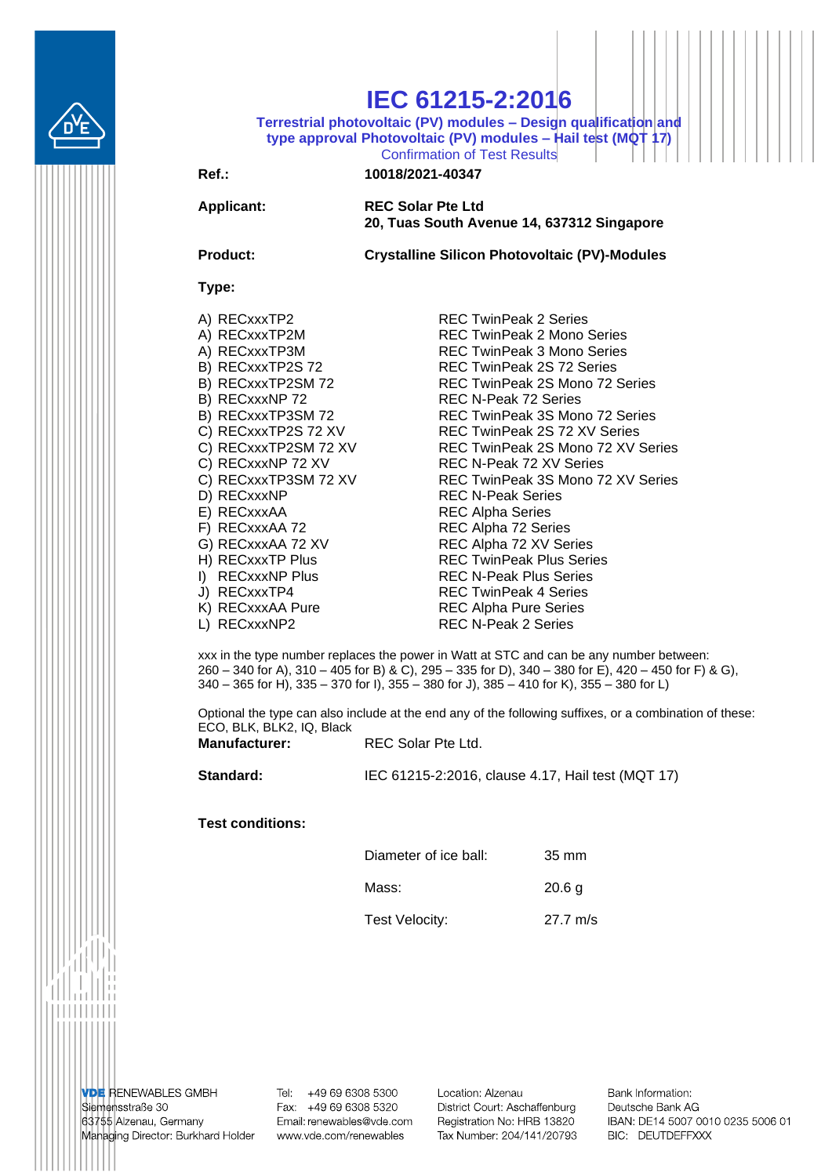

# **IEC 61215-2:2016**

**Terrestrial photovoltaic (PV) modules – Design qualification and type approval Photovoltaic (PV) modules – Hail test (MQT 17)** Confirmation of Test Results

### **Ref.: 10018/2021-40347**

**Applicant: REC Solar Pte Ltd 20, Tuas South Avenue 14, 637312 Singapore**

**Product: Crystalline Silicon Photovoltaic (PV)-Modules**

#### **Type:**

- 
- 
- 
- 
- 
- 
- 
- 
- 
- 
- 
- 
- 
- 
- 
- 
- 
- 
- 
- 

A) RECxxxTP2 REC TwinPeak 2 Series A) RECxxxTP2M REC TwinPeak 2 Mono Series A) RECxxxTP3M REC TwinPeak 3 Mono Series B) RECxxxTP2S 72 REC TwinPeak 2S 72 Series B) RECxxxTP2SM 72 REC TwinPeak 2S Mono 72 Series B) RECxxxNP 72 REC N-Peak 72 Series B) RECxxxTP3SM 72 REC TwinPeak 3S Mono 72 Series C) RECxxxTP2S 72 XV REC TwinPeak 2S 72 XV Series C) RECxxxTP2SM 72 XV REC TwinPeak 2S Mono 72 XV Series C) RECxxxNP 72 XV REC N-Peak 72 XV Series C) RECxxxTP3SM 72 XV REC TwinPeak 3S Mono 72 XV Series<br>D) RECxxxNP REC N-Peak Series REC N-Peak Series E) RECxxxAA REC Alpha Series F) RECxxxAA 72 REC Alpha 72 Series G) RECxxxAA 72 XV REC Alpha 72 XV Series H) RECxxxTP Plus REC TwinPeak Plus Series I) RECxxxNP Plus REC N-Peak Plus Series J) RECxxxTP4 REC TwinPeak 4 Series K) RECxxxAA Pure REC Alpha Pure Series L) RECxxxNP2 REC N-Peak 2 Series

xxx in the type number replaces the power in Watt at STC and can be any number between: 260 – 340 for A), 310 – 405 for B) & C), 295 – 335 for D), 340 – 380 for E), 420 – 450 for F) & G), 340 – 365 for H), 335 – 370 for I), 355 – 380 for J), 385 – 410 for K), 355 – 380 for L)

Optional the type can also include at the end any of the following suffixes, or a combination of these: ECO, BLK, BLK2, IQ, Black

| <b>Manufacturer:</b> | REC Solar Pte Ltd. |
|----------------------|--------------------|
|----------------------|--------------------|

**Standard:** IEC 61215-2:2016, clause 4.17, Hail test (MQT 17)

#### **Test conditions:**

| Diameter of ice ball: | $35 \text{ mm}$    |
|-----------------------|--------------------|
| Mass:                 | 20.6 <sub>q</sub>  |
| Test Velocity:        | $27.7 \text{ m/s}$ |

**VDE RENEWABLES GMBH** Siemensstraße 30 63755 Alzenau, Germany Managing Director: Burkhard Holder Tel: +49 69 6308 5300 Fax: +49 69 6308 5320 Email: renewables@vde.com www.vde.com/renewables

Location: Alzenau District Court: Aschaffenburg Registration No: HRB 13820 Tax Number: 204/141/20793 Bank Information: Deutsche Bank AG IBAN: DE14 5007 0010 0235 5006 01 BIC: DEUTDEFFXXX